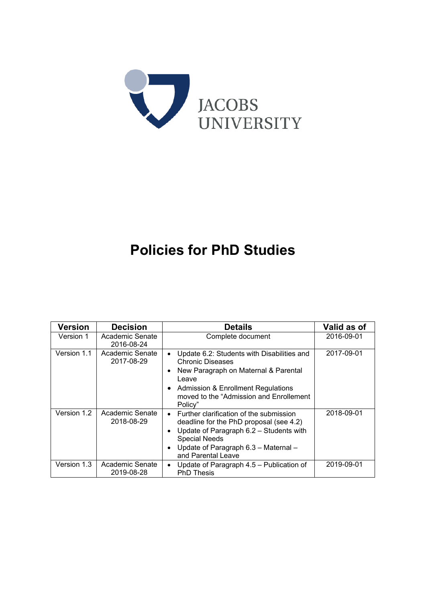

# **Policies for PhD Studies**

| <b>Version</b> | <b>Decision</b>               | <b>Details</b>                                                                                                                                                                                                                                             | Valid as of |
|----------------|-------------------------------|------------------------------------------------------------------------------------------------------------------------------------------------------------------------------------------------------------------------------------------------------------|-------------|
| Version 1      | Academic Senate<br>2016-08-24 | Complete document                                                                                                                                                                                                                                          | 2016-09-01  |
| Version 1.1    | Academic Senate<br>2017-08-29 | Update 6.2: Students with Disabilities and<br>$\bullet$<br><b>Chronic Diseases</b><br>New Paragraph on Maternal & Parental<br>$\bullet$<br>Leave<br>Admission & Enrollment Regulations<br>٠<br>moved to the "Admission and Enrollement<br>Policy"          | 2017-09-01  |
| Version 1.2    | Academic Senate<br>2018-08-29 | Further clarification of the submission<br>$\bullet$<br>deadline for the PhD proposal (see 4.2)<br>Update of Paragraph 6.2 - Students with<br>$\bullet$<br><b>Special Needs</b><br>Update of Paragraph 6.3 - Maternal -<br>$\bullet$<br>and Parental Leave | 2018-09-01  |
| Version 1.3    | Academic Senate<br>2019-08-28 | Update of Paragraph 4.5 - Publication of<br><b>PhD Thesis</b>                                                                                                                                                                                              | 2019-09-01  |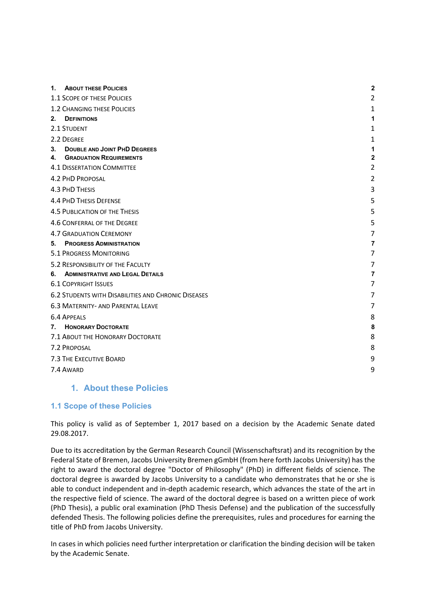| 1.       | <b>ABOUT THESE POLICIES</b>                                           | $\overline{\mathbf{2}}$ |
|----------|-----------------------------------------------------------------------|-------------------------|
|          | 1.1 SCOPE OF THESE POLICIES                                           | $\overline{2}$          |
|          | <b>1.2 CHANGING THESE POLICIES</b>                                    | 1                       |
| $2_{-}$  | <b>DEFINITIONS</b>                                                    | 1                       |
|          | 2.1 STUDENT                                                           | 1                       |
|          | 2.2 DEGREE                                                            | 1                       |
| 3.<br>4. | <b>DOUBLE AND JOINT PHD DEGREES</b><br><b>GRADUATION REQUIREMENTS</b> | 1<br>$\mathbf{2}$       |
|          | <b>4.1 DISSERTATION COMMITTEE</b>                                     | $\overline{2}$          |
|          | 4.2 PHD PROPOSAL                                                      | $\overline{2}$          |
|          | <b>4.3 PHD THESIS</b>                                                 | 3                       |
|          | <b>4.4 PHD THESIS DEFENSE</b>                                         | 5                       |
|          |                                                                       |                         |
|          | <b>4.5 PUBLICATION OF THE THESIS</b>                                  | 5                       |
|          | 4.6 CONFERRAL OF THE DEGREE                                           | 5                       |
|          | <b>4.7 GRADUATION CEREMONY</b>                                        | 7                       |
| 5.       | <b>PROGRESS ADMINISTRATION</b>                                        | 7                       |
|          | <b>5.1 PROGRESS MONITORING</b>                                        | 7                       |
|          | 5.2 RESPONSIBILITY OF THE FACULTY                                     | 7                       |
| 6.       | <b>ADMINISTRATIVE AND LEGAL DETAILS</b>                               | $\overline{7}$          |
|          | <b>6.1 COPYRIGHT ISSUES</b>                                           | 7                       |
|          | <b>6.2 STUDENTS WITH DISABILITIES AND CHRONIC DISEASES</b>            | 7                       |
|          | <b>6.3 MATERNITY- AND PARENTAL LEAVE</b>                              | 7                       |
|          | <b>6.4 APPEALS</b>                                                    | 8                       |
| 7.       | <b>HONORARY DOCTORATE</b>                                             | 8                       |
|          | 7.1 ABOUT THE HONORARY DOCTORATE                                      | 8                       |
|          | 7.2 PROPOSAL                                                          | 8                       |
|          | 7.3 THE EXECUTIVE BOARD                                               | 9                       |
|          | 7.4 AWARD                                                             | 9                       |
|          |                                                                       |                         |

## **1. About these Policies**

## **1.1 Scope of these Policies**

This policy is valid as of September 1, 2017 based on a decision by the Academic Senate dated 29.08.2017.

Due to its accreditation by the German Research Council (Wissenschaftsrat) and its recognition by the Federal State of Bremen, Jacobs University Bremen gGmbH (from here forth Jacobs University) has the right to award the doctoral degree "Doctor of Philosophy" (PhD) in different fields of science. The doctoral degree is awarded by Jacobs University to a candidate who demonstrates that he or she is able to conduct independent and in‐depth academic research, which advances the state of the art in the respective field of science. The award of the doctoral degree is based on a written piece of work (PhD Thesis), a public oral examination (PhD Thesis Defense) and the publication of the successfully defended Thesis. The following policies define the prerequisites, rules and procedures for earning the title of PhD from Jacobs University.

In cases in which policies need further interpretation or clarification the binding decision will be taken by the Academic Senate.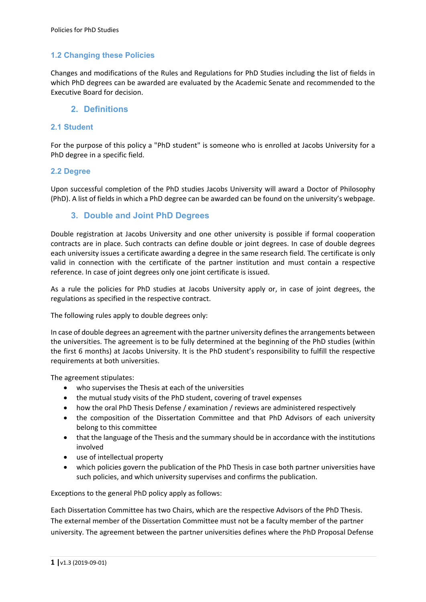# **1.2 Changing these Policies**

Changes and modifications of the Rules and Regulations for PhD Studies including the list of fields in which PhD degrees can be awarded are evaluated by the Academic Senate and recommended to the Executive Board for decision.

## **2. Definitions**

## **2.1 Student**

For the purpose of this policy a "PhD student" is someone who is enrolled at Jacobs University for a PhD degree in a specific field.

## **2.2 Degree**

Upon successful completion of the PhD studies Jacobs University will award a Doctor of Philosophy (PhD). A list of fields in which a PhD degree can be awarded can be found on the university's webpage.

# **3. Double and Joint PhD Degrees**

Double registration at Jacobs University and one other university is possible if formal cooperation contracts are in place. Such contracts can define double or joint degrees. In case of double degrees each university issues a certificate awarding a degree in the same research field. The certificate is only valid in connection with the certificate of the partner institution and must contain a respective reference. In case of joint degrees only one joint certificate is issued.

As a rule the policies for PhD studies at Jacobs University apply or, in case of joint degrees, the regulations as specified in the respective contract.

The following rules apply to double degrees only:

In case of double degrees an agreement with the partner university defines the arrangements between the universities. The agreement is to be fully determined at the beginning of the PhD studies (within the first 6 months) at Jacobs University. It is the PhD student's responsibility to fulfill the respective requirements at both universities.

The agreement stipulates:

- who supervises the Thesis at each of the universities
- the mutual study visits of the PhD student, covering of travel expenses
- how the oral PhD Thesis Defense / examination / reviews are administered respectively
- the composition of the Dissertation Committee and that PhD Advisors of each university belong to this committee
- that the language of the Thesis and the summary should be in accordance with the institutions involved
- use of intellectual property
- which policies govern the publication of the PhD Thesis in case both partner universities have such policies, and which university supervises and confirms the publication.

Exceptions to the general PhD policy apply as follows:

Each Dissertation Committee has two Chairs, which are the respective Advisors of the PhD Thesis. The external member of the Dissertation Committee must not be a faculty member of the partner university. The agreement between the partner universities defines where the PhD Proposal Defense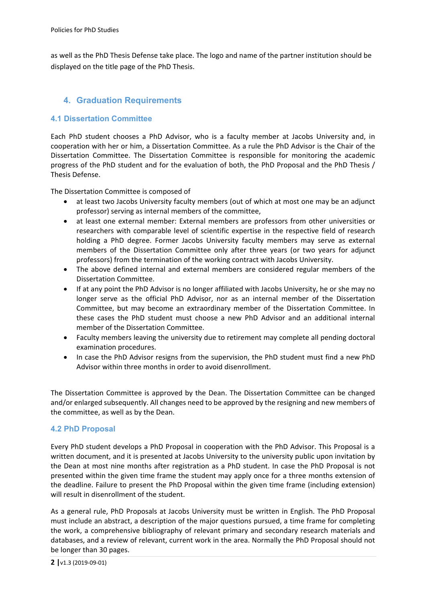as well as the PhD Thesis Defense take place. The logo and name of the partner institution should be displayed on the title page of the PhD Thesis.

# **4. Graduation Requirements**

## **4.1 Dissertation Committee**

Each PhD student chooses a PhD Advisor, who is a faculty member at Jacobs University and, in cooperation with her or him, a Dissertation Committee. As a rule the PhD Advisor is the Chair of the Dissertation Committee. The Dissertation Committee is responsible for monitoring the academic progress of the PhD student and for the evaluation of both, the PhD Proposal and the PhD Thesis / Thesis Defense.

The Dissertation Committee is composed of

- at least two Jacobs University faculty members (out of which at most one may be an adjunct professor) serving as internal members of the committee,
- at least one external member: External members are professors from other universities or researchers with comparable level of scientific expertise in the respective field of research holding a PhD degree. Former Jacobs University faculty members may serve as external members of the Dissertation Committee only after three years (or two years for adjunct professors) from the termination of the working contract with Jacobs University.
- The above defined internal and external members are considered regular members of the Dissertation Committee.
- If at any point the PhD Advisor is no longer affiliated with Jacobs University, he or she may no longer serve as the official PhD Advisor, nor as an internal member of the Dissertation Committee, but may become an extraordinary member of the Dissertation Committee. In these cases the PhD student must choose a new PhD Advisor and an additional internal member of the Dissertation Committee.
- Faculty members leaving the university due to retirement may complete all pending doctoral examination procedures.
- In case the PhD Advisor resigns from the supervision, the PhD student must find a new PhD Advisor within three months in order to avoid disenrollment.

The Dissertation Committee is approved by the Dean. The Dissertation Committee can be changed and/or enlarged subsequently. All changes need to be approved by the resigning and new members of the committee, as well as by the Dean.

## **4.2 PhD Proposal**

Every PhD student develops a PhD Proposal in cooperation with the PhD Advisor. This Proposal is a written document, and it is presented at Jacobs University to the university public upon invitation by the Dean at most nine months after registration as a PhD student. In case the PhD Proposal is not presented within the given time frame the student may apply once for a three months extension of the deadline. Failure to present the PhD Proposal within the given time frame (including extension) will result in disenrollment of the student.

As a general rule, PhD Proposals at Jacobs University must be written in English. The PhD Proposal must include an abstract, a description of the major questions pursued, a time frame for completing the work, a comprehensive bibliography of relevant primary and secondary research materials and databases, and a review of relevant, current work in the area. Normally the PhD Proposal should not be longer than 30 pages.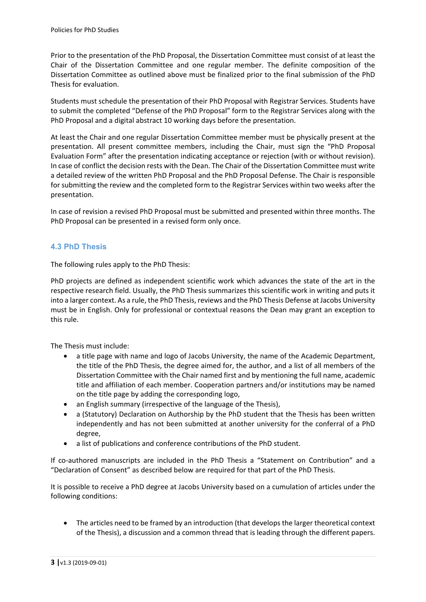Prior to the presentation of the PhD Proposal, the Dissertation Committee must consist of at least the Chair of the Dissertation Committee and one regular member. The definite composition of the Dissertation Committee as outlined above must be finalized prior to the final submission of the PhD Thesis for evaluation.

Students must schedule the presentation of their PhD Proposal with Registrar Services. Students have to submit the completed "Defense of the PhD Proposal" form to the Registrar Services along with the PhD Proposal and a digital abstract 10 working days before the presentation.

At least the Chair and one regular Dissertation Committee member must be physically present at the presentation. All present committee members, including the Chair, must sign the "PhD Proposal Evaluation Form" after the presentation indicating acceptance or rejection (with or without revision). In case of conflict the decision rests with the Dean. The Chair of the Dissertation Committee must write a detailed review of the written PhD Proposal and the PhD Proposal Defense. The Chair is responsible for submitting the review and the completed form to the Registrar Services within two weeks after the presentation.

In case of revision a revised PhD Proposal must be submitted and presented within three months. The PhD Proposal can be presented in a revised form only once.

## **4.3 PhD Thesis**

The following rules apply to the PhD Thesis:

PhD projects are defined as independent scientific work which advances the state of the art in the respective research field. Usually, the PhD Thesis summarizes this scientific work in writing and puts it into a larger context. As a rule, the PhD Thesis, reviews and the PhD Thesis Defense at Jacobs University must be in English. Only for professional or contextual reasons the Dean may grant an exception to this rule.

The Thesis must include:

- a title page with name and logo of Jacobs University, the name of the Academic Department, the title of the PhD Thesis, the degree aimed for, the author, and a list of all members of the Dissertation Committee with the Chair named first and by mentioning the full name, academic title and affiliation of each member. Cooperation partners and/or institutions may be named on the title page by adding the corresponding logo,
- an English summary (irrespective of the language of the Thesis),
- a (Statutory) Declaration on Authorship by the PhD student that the Thesis has been written independently and has not been submitted at another university for the conferral of a PhD degree,
- a list of publications and conference contributions of the PhD student.

If co-authored manuscripts are included in the PhD Thesis a "Statement on Contribution" and a "Declaration of Consent" as described below are required for that part of the PhD Thesis.

It is possible to receive a PhD degree at Jacobs University based on a cumulation of articles under the following conditions:

• The articles need to be framed by an introduction (that develops the larger theoretical context of the Thesis), a discussion and a common thread that is leading through the different papers.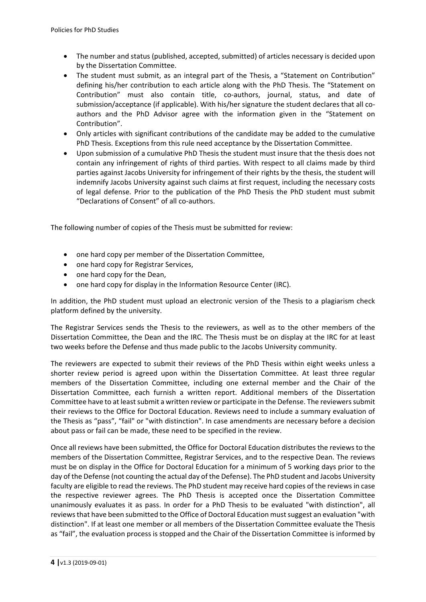- The number and status (published, accepted, submitted) of articles necessary is decided upon by the Dissertation Committee.
- The student must submit, as an integral part of the Thesis, a "Statement on Contribution" defining his/her contribution to each article along with the PhD Thesis. The "Statement on Contribution" must also contain title, co-authors, journal, status, and date of submission/acceptance (if applicable). With his/her signature the student declares that all coauthors and the PhD Advisor agree with the information given in the "Statement on Contribution".
- Only articles with significant contributions of the candidate may be added to the cumulative PhD Thesis. Exceptions from this rule need acceptance by the Dissertation Committee.
- Upon submission of a cumulative PhD Thesis the student must insure that the thesis does not contain any infringement of rights of third parties. With respect to all claims made by third parties against Jacobs University for infringement of their rights by the thesis, the student will indemnify Jacobs University against such claims at first request, including the necessary costs of legal defense. Prior to the publication of the PhD Thesis the PhD student must submit "Declarations of Consent" of all co‐authors.

The following number of copies of the Thesis must be submitted for review:

- one hard copy per member of the Dissertation Committee,
- one hard copy for Registrar Services,
- one hard copy for the Dean,
- one hard copy for display in the Information Resource Center (IRC).

In addition, the PhD student must upload an electronic version of the Thesis to a plagiarism check platform defined by the university.

The Registrar Services sends the Thesis to the reviewers, as well as to the other members of the Dissertation Committee, the Dean and the IRC. The Thesis must be on display at the IRC for at least two weeks before the Defense and thus made public to the Jacobs University community.

The reviewers are expected to submit their reviews of the PhD Thesis within eight weeks unless a shorter review period is agreed upon within the Dissertation Committee. At least three regular members of the Dissertation Committee, including one external member and the Chair of the Dissertation Committee, each furnish a written report. Additional members of the Dissertation Committee have to at least submit a written review or participate in the Defense. The reviewers submit their reviews to the Office for Doctoral Education. Reviews need to include a summary evaluation of the Thesis as "pass", "fail" or "with distinction". In case amendments are necessary before a decision about pass or fail can be made, these need to be specified in the review.

Once all reviews have been submitted, the Office for Doctoral Education distributes the reviews to the members of the Dissertation Committee, Registrar Services, and to the respective Dean. The reviews must be on display in the Office for Doctoral Education for a minimum of 5 working days prior to the day of the Defense (not counting the actual day of the Defense). The PhD student and Jacobs University faculty are eligible to read the reviews. The PhD student may receive hard copies of the reviews in case the respective reviewer agrees. The PhD Thesis is accepted once the Dissertation Committee unanimously evaluates it as pass. In order for a PhD Thesis to be evaluated "with distinction", all reviews that have been submitted to the Office of Doctoral Education must suggest an evaluation "with distinction". If at least one member or all members of the Dissertation Committee evaluate the Thesis as "fail", the evaluation process is stopped and the Chair of the Dissertation Committee is informed by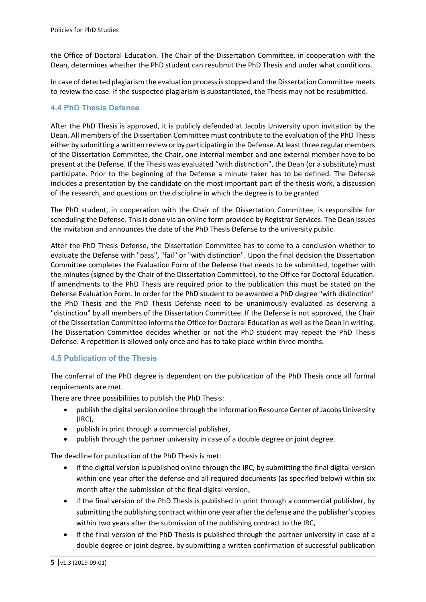the Office of Doctoral Education. The Chair of the Dissertation Committee, in cooperation with the Dean, determines whether the PhD student can resubmit the PhD Thesis and under what conditions.

In case of detected plagiarism the evaluation process is stopped and the Dissertation Committee meets to review the case. If the suspected plagiarism is substantiated, the Thesis may not be resubmitted.

## **4.4 PhD Thesis Defense**

After the PhD Thesis is approved, it is publicly defended at Jacobs University upon invitation by the Dean. All members of the Dissertation Committee must contribute to the evaluation of the PhD Thesis either by submitting a written review or by participating in the Defense. At least three regular members of the Dissertation Committee, the Chair, one internal member and one external member have to be present at the Defense. If the Thesis was evaluated "with distinction", the Dean (or a substitute) must participate. Prior to the beginning of the Defense a minute taker has to be defined. The Defense includes a presentation by the candidate on the most important part of the thesis work, a discussion of the research, and questions on the discipline in which the degree is to be granted.

The PhD student, in cooperation with the Chair of the Dissertation Committee, is responsible for scheduling the Defense. This is done via an online form provided by Registrar Services. The Dean issues the invitation and announces the date of the PhD Thesis Defense to the university public.

After the PhD Thesis Defense, the Dissertation Committee has to come to a conclusion whether to evaluate the Defense with "pass", "fail" or "with distinction". Upon the final decision the Dissertation Committee completes the Evaluation Form of the Defense that needs to be submitted, together with the minutes (signed by the Chair of the Dissertation Committee), to the Office for Doctoral Education. If amendments to the PhD Thesis are required prior to the publication this must be stated on the Defense Evaluation Form. In order for the PhD student to be awarded a PhD degree "with distinction" the PhD Thesis and the PhD Thesis Defense need to be unanimously evaluated as deserving a "distinction" by all members of the Dissertation Committee. If the Defense is not approved, the Chair of the Dissertation Committee informs the Office for Doctoral Education as well as the Dean in writing. The Dissertation Committee decides whether or not the PhD student may repeat the PhD Thesis Defense. A repetition is allowed only once and has to take place within three months.

## **4.5 Publication of the Thesis**

The conferral of the PhD degree is dependent on the publication of the PhD Thesis once all formal requirements are met.

There are three possibilities to publish the PhD Thesis:

- publish the digital version online through the Information Resource Center of Jacobs University (IRC),
- publish in print through a commercial publisher,
- publish through the partner university in case of a double degree or joint degree.

The deadline for publication of the PhD Thesis is met:

- if the digital version is published online through the IRC, by submitting the final digital version within one year after the defense and all required documents (as specified below) within six month after the submission of the final digital version,
- if the final version of the PhD Thesis is published in print through a commercial publisher, by submitting the publishing contract within one year after the defense and the publisher's copies within two years after the submission of the publishing contract to the IRC,
- if the final version of the PhD Thesis is published through the partner university in case of a double degree or joint degree, by submitting a written confirmation of successful publication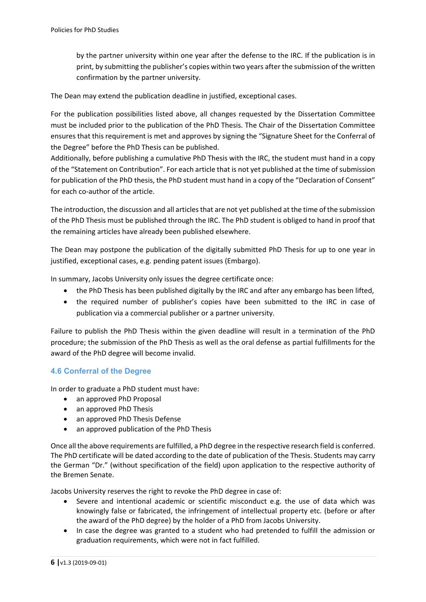by the partner university within one year after the defense to the IRC. If the publication is in print, by submitting the publisher's copies within two years after the submission of the written confirmation by the partner university.

The Dean may extend the publication deadline in justified, exceptional cases.

For the publication possibilities listed above, all changes requested by the Dissertation Committee must be included prior to the publication of the PhD Thesis. The Chair of the Dissertation Committee ensures that this requirement is met and approves by signing the "Signature Sheet for the Conferral of the Degree" before the PhD Thesis can be published.

Additionally, before publishing a cumulative PhD Thesis with the IRC, the student must hand in a copy of the "Statement on Contribution". For each article that is not yet published at the time of submission for publication of the PhD thesis, the PhD student must hand in a copy of the "Declaration of Consent" for each co-author of the article.

The introduction, the discussion and all articles that are not yet published at the time of the submission of the PhD Thesis must be published through the IRC. The PhD student is obliged to hand in proof that the remaining articles have already been published elsewhere.

The Dean may postpone the publication of the digitally submitted PhD Thesis for up to one year in justified, exceptional cases, e.g. pending patent issues (Embargo).

In summary, Jacobs University only issues the degree certificate once:

- the PhD Thesis has been published digitally by the IRC and after any embargo has been lifted,
- the required number of publisher's copies have been submitted to the IRC in case of publication via a commercial publisher or a partner university.

Failure to publish the PhD Thesis within the given deadline will result in a termination of the PhD procedure; the submission of the PhD Thesis as well as the oral defense as partial fulfillments for the award of the PhD degree will become invalid.

## **4.6 Conferral of the Degree**

In order to graduate a PhD student must have:

- an approved PhD Proposal
- an approved PhD Thesis
- an approved PhD Thesis Defense
- an approved publication of the PhD Thesis

Once all the above requirements are fulfilled, a PhD degree in the respective research field is conferred. The PhD certificate will be dated according to the date of publication of the Thesis. Students may carry the German "Dr." (without specification of the field) upon application to the respective authority of the Bremen Senate.

Jacobs University reserves the right to revoke the PhD degree in case of:

- Severe and intentional academic or scientific misconduct e.g. the use of data which was knowingly false or fabricated, the infringement of intellectual property etc. (before or after the award of the PhD degree) by the holder of a PhD from Jacobs University.
- In case the degree was granted to a student who had pretended to fulfill the admission or graduation requirements, which were not in fact fulfilled.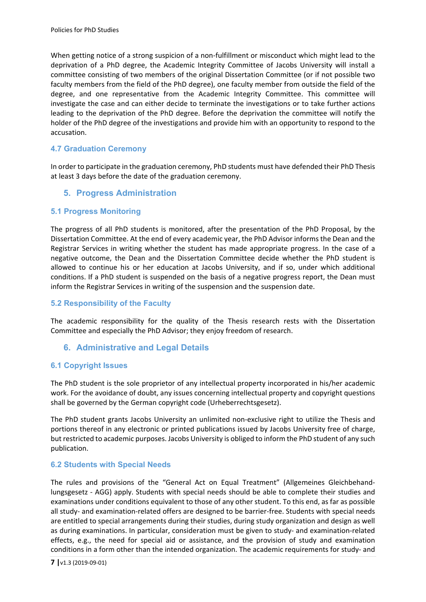When getting notice of a strong suspicion of a non-fulfillment or misconduct which might lead to the deprivation of a PhD degree, the Academic Integrity Committee of Jacobs University will install a committee consisting of two members of the original Dissertation Committee (or if not possible two faculty members from the field of the PhD degree), one faculty member from outside the field of the degree, and one representative from the Academic Integrity Committee. This committee will investigate the case and can either decide to terminate the investigations or to take further actions leading to the deprivation of the PhD degree. Before the deprivation the committee will notify the holder of the PhD degree of the investigations and provide him with an opportunity to respond to the accusation.

## **4.7 Graduation Ceremony**

In order to participate in the graduation ceremony, PhD students must have defended their PhD Thesis at least 3 days before the date of the graduation ceremony.

## **5. Progress Administration**

## **5.1 Progress Monitoring**

The progress of all PhD students is monitored, after the presentation of the PhD Proposal, by the Dissertation Committee. At the end of every academic year, the PhD Advisor informs the Dean and the Registrar Services in writing whether the student has made appropriate progress. In the case of a negative outcome, the Dean and the Dissertation Committee decide whether the PhD student is allowed to continue his or her education at Jacobs University, and if so, under which additional conditions. If a PhD student is suspended on the basis of a negative progress report, the Dean must inform the Registrar Services in writing of the suspension and the suspension date.

## **5.2 Responsibility of the Faculty**

The academic responsibility for the quality of the Thesis research rests with the Dissertation Committee and especially the PhD Advisor; they enjoy freedom of research.

## **6. Administrative and Legal Details**

## **6.1 Copyright Issues**

The PhD student is the sole proprietor of any intellectual property incorporated in his/her academic work. For the avoidance of doubt, any issues concerning intellectual property and copyright questions shall be governed by the German copyright code (Urheberrechtsgesetz).

The PhD student grants Jacobs University an unlimited non-exclusive right to utilize the Thesis and portions thereof in any electronic or printed publications issued by Jacobs University free of charge, but restricted to academic purposes. Jacobs University is obliged to inform the PhD student of any such publication.

## **6.2 Students with Special Needs**

The rules and provisions of the "General Act on Equal Treatment" (Allgemeines Gleichbehandlungsgesetz ‐ AGG) apply. Students with special needs should be able to complete their studies and examinations under conditions equivalent to those of any other student. To this end, as far as possible all study‐ and examination‐related offers are designed to be barrier‐free. Students with special needs are entitled to special arrangements during their studies, during study organization and design as well as during examinations. In particular, consideration must be given to study- and examination-related effects, e.g., the need for special aid or assistance, and the provision of study and examination conditions in a form other than the intended organization. The academic requirements for study‐ and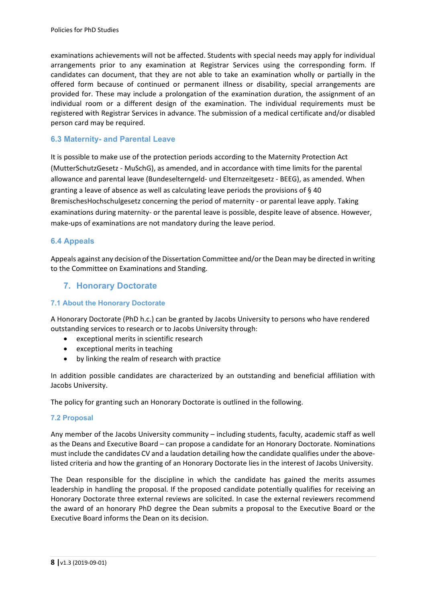examinations achievements will not be affected. Students with special needs may apply for individual arrangements prior to any examination at Registrar Services using the corresponding form. If candidates can document, that they are not able to take an examination wholly or partially in the offered form because of continued or permanent illness or disability, special arrangements are provided for. These may include a prolongation of the examination duration, the assignment of an individual room or a different design of the examination. The individual requirements must be registered with Registrar Services in advance. The submission of a medical certificate and/or disabled person card may be required.

#### **6.3 Maternity- and Parental Leave**

It is possible to make use of the protection periods according to the Maternity Protection Act (MutterSchutzGesetz ‐ MuSchG), as amended, and in accordance with time limits for the parental allowance and parental leave (Bundeselterngeld‐ und Elternzeitgesetz ‐ BEEG), as amended. When granting a leave of absence as well as calculating leave periods the provisions of § 40 BremischesHochschulgesetz concerning the period of maternity ‐ or parental leave apply. Taking examinations during maternity‐ or the parental leave is possible, despite leave of absence. However, make‐ups of examinations are not mandatory during the leave period.

## **6.4 Appeals**

Appeals against any decision of the Dissertation Committee and/or the Dean may be directed in writing to the Committee on Examinations and Standing.

## **7. Honorary Doctorate**

#### **7.1 About the Honorary Doctorate**

A Honorary Doctorate (PhD h.c.) can be granted by Jacobs University to persons who have rendered outstanding services to research or to Jacobs University through:

- exceptional merits in scientific research
- exceptional merits in teaching
- by linking the realm of research with practice

In addition possible candidates are characterized by an outstanding and beneficial affiliation with Jacobs University.

The policy for granting such an Honorary Doctorate is outlined in the following.

#### **7.2 Proposal**

Any member of the Jacobs University community – including students, faculty, academic staff as well as the Deans and Executive Board – can propose a candidate for an Honorary Doctorate. Nominations must include the candidates CV and a laudation detailing how the candidate qualifies under the abovelisted criteria and how the granting of an Honorary Doctorate lies in the interest of Jacobs University.

The Dean responsible for the discipline in which the candidate has gained the merits assumes leadership in handling the proposal. If the proposed candidate potentially qualifies for receiving an Honorary Doctorate three external reviews are solicited. In case the external reviewers recommend the award of an honorary PhD degree the Dean submits a proposal to the Executive Board or the Executive Board informs the Dean on its decision.